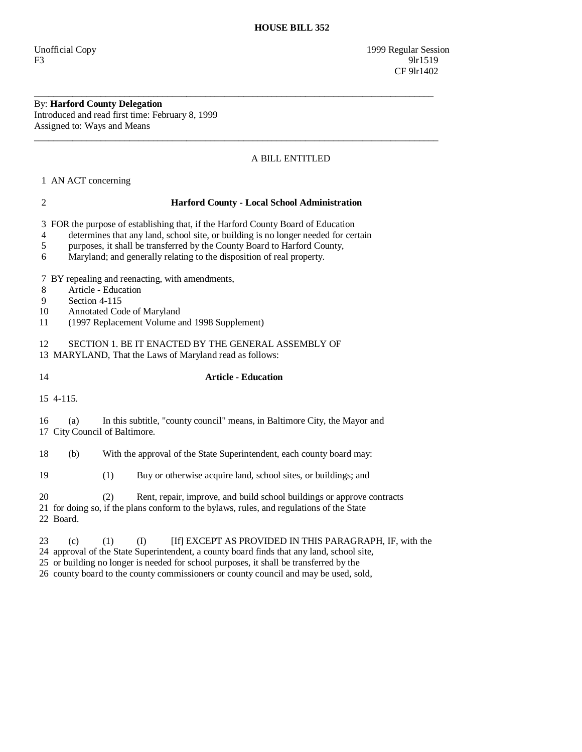Unofficial Copy 1999 Regular Session F3 9lr1519 CF 9lr1402

By: **Harford County Delegation**  Introduced and read first time: February 8, 1999

Assigned to: Ways and Means  $\overline{\phantom{a}}$  ,  $\overline{\phantom{a}}$  ,  $\overline{\phantom{a}}$  ,  $\overline{\phantom{a}}$  ,  $\overline{\phantom{a}}$  ,  $\overline{\phantom{a}}$  ,  $\overline{\phantom{a}}$  ,  $\overline{\phantom{a}}$  ,  $\overline{\phantom{a}}$  ,  $\overline{\phantom{a}}$  ,  $\overline{\phantom{a}}$  ,  $\overline{\phantom{a}}$  ,  $\overline{\phantom{a}}$  ,  $\overline{\phantom{a}}$  ,  $\overline{\phantom{a}}$  ,  $\overline{\phantom{a}}$ 

## A BILL ENTITLED

1 AN ACT concerning

| $\overline{2}$                                                                                                                                                                                  | <b>Harford County - Local School Administration</b>                                                                                                                                                                                                                                                                       |                                                                       |  |                                                                                                                                                                    |  |
|-------------------------------------------------------------------------------------------------------------------------------------------------------------------------------------------------|---------------------------------------------------------------------------------------------------------------------------------------------------------------------------------------------------------------------------------------------------------------------------------------------------------------------------|-----------------------------------------------------------------------|--|--------------------------------------------------------------------------------------------------------------------------------------------------------------------|--|
| 3<br>4<br>$\mathfrak s$<br>6                                                                                                                                                                    | FOR the purpose of establishing that, if the Harford County Board of Education<br>determines that any land, school site, or building is no longer needed for certain<br>purposes, it shall be transferred by the County Board to Harford County,<br>Maryland; and generally relating to the disposition of real property. |                                                                       |  |                                                                                                                                                                    |  |
| BY repealing and reenacting, with amendments,<br>7<br>Article - Education<br>8<br>9<br>Section 4-115<br>Annotated Code of Maryland<br>10<br>(1997 Replacement Volume and 1998 Supplement)<br>11 |                                                                                                                                                                                                                                                                                                                           |                                                                       |  |                                                                                                                                                                    |  |
| SECTION 1. BE IT ENACTED BY THE GENERAL ASSEMBLY OF<br>12<br>13 MARYLAND, That the Laws of Maryland read as follows:                                                                            |                                                                                                                                                                                                                                                                                                                           |                                                                       |  |                                                                                                                                                                    |  |
| 14                                                                                                                                                                                              | <b>Article - Education</b>                                                                                                                                                                                                                                                                                                |                                                                       |  |                                                                                                                                                                    |  |
|                                                                                                                                                                                                 | 15 4-115.                                                                                                                                                                                                                                                                                                                 |                                                                       |  |                                                                                                                                                                    |  |
| 16                                                                                                                                                                                              | In this subtitle, "county council" means, in Baltimore City, the Mayor and<br>(a)<br>17 City Council of Baltimore.                                                                                                                                                                                                        |                                                                       |  |                                                                                                                                                                    |  |
| 18                                                                                                                                                                                              | (b)                                                                                                                                                                                                                                                                                                                       | With the approval of the State Superintendent, each county board may: |  |                                                                                                                                                                    |  |
| 19                                                                                                                                                                                              |                                                                                                                                                                                                                                                                                                                           | (1)                                                                   |  | Buy or otherwise acquire land, school sites, or buildings; and                                                                                                     |  |
| 20                                                                                                                                                                                              | 22 Board.                                                                                                                                                                                                                                                                                                                 | (2)                                                                   |  | Rent, repair, improve, and build school buildings or approve contracts<br>21 for doing so, if the plans conform to the bylaws, rules, and regulations of the State |  |
| ົາ                                                                                                                                                                                              | $\left( -\right)$                                                                                                                                                                                                                                                                                                         | $(1)$ $(1)$                                                           |  | <b>ITA EVALUE A C DDOVIDED IN THE DAD A CD A DIL IF.</b> A deal                                                                                                    |  |

\_\_\_\_\_\_\_\_\_\_\_\_\_\_\_\_\_\_\_\_\_\_\_\_\_\_\_\_\_\_\_\_\_\_\_\_\_\_\_\_\_\_\_\_\_\_\_\_\_\_\_\_\_\_\_\_\_\_\_\_\_\_\_\_\_\_\_\_\_\_\_\_\_\_\_\_\_\_\_\_\_\_\_\_

23 (c) (1) (I) [If] EXCEPT AS PROVIDED IN THIS PARAGRAPH, IF, with the

24 approval of the State Superintendent, a county board finds that any land, school site,

25 or building no longer is needed for school purposes, it shall be transferred by the

26 county board to the county commissioners or county council and may be used, sold,